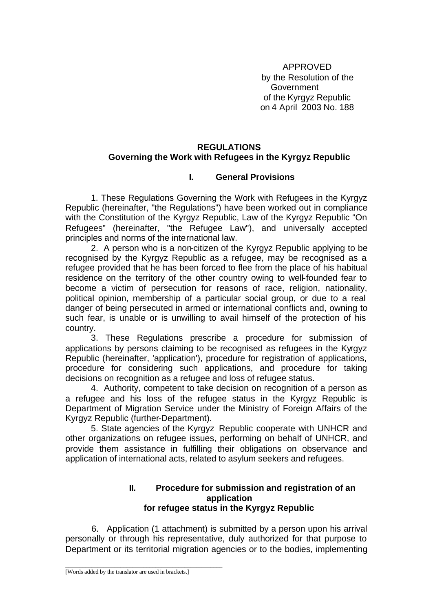APPROVED by the Resolution of the **Government** of the Kyrgyz Republic on 4 April 2003 No. 188

# **REGULATIONS Governing the Work with Refugees in the Kyrgyz Republic**

# **I. General Provisions**

1. These Regulations Governing the Work with Refugees in the Kyrgyz Republic (hereinafter, "the Regulations") have been worked out in compliance with the Constitution of the Kyrgyz Republic, Law of the Kyrgyz Republic "On Refugees" (hereinafter, "the Refugee Law"), and universally accepted principles and norms of the international law.

2. A person who is a non-citizen of the Kyrgyz Republic applying to be recognised by the Kyrgyz Republic as a refugee, may be recognised as a refugee provided that he has been forced to flee from the place of his habitual residence on the territory of the other country owing to well-founded fear to become a victim of persecution for reasons of race, religion, nationality, political opinion, membership of a particular social group, or due to a real danger of being persecuted in armed or international conflicts and, owning to such fear, is unable or is unwilling to avail himself of the protection of his country.

3. These Regulations prescribe a procedure for submission of applications by persons claiming to be recognised as refugees in the Kyrgyz Republic (hereinafter, 'application'), procedure for registration of applications, procedure for considering such applications, and procedure for taking decisions on recognition as a refugee and loss of refugee status.

4. Authority, competent to take decision on recognition of a person as a refugee and his loss of the refugee status in the Kyrgyz Republic is Department of Migration Service under the Ministry of Foreign Affairs of the Kyrgyz Republic (further-Department).

5. State agencies of the Kyrgyz Republic cooperate with UNHCR and other organizations on refugee issues, performing on behalf of UNHCR, and provide them assistance in fulfilling their obligations on observance and application of international acts, related to asylum seekers and refugees.

#### **II. Procedure for submission and registration of an application for refugee status in the Kyrgyz Republic**

6. Application (1 attachment) is submitted by a person upon his arrival personally or through his representative, duly authorized for that purpose to Department or its territorial migration agencies or to the bodies, implementing

\_\_\_\_\_\_\_\_\_\_\_\_\_\_\_\_\_\_\_\_\_\_\_\_\_\_\_\_\_\_\_\_\_\_\_\_\_\_\_\_\_\_\_\_\_\_\_\_\_\_\_\_\_\_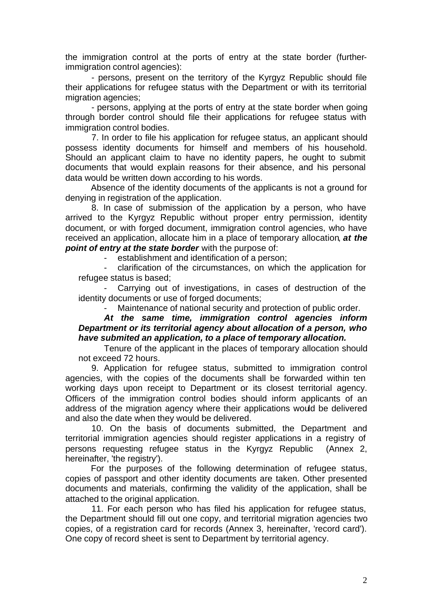the immigration control at the ports of entry at the state border (furtherimmigration control agencies):

- persons, present on the territory of the Kyrgyz Republic should file their applications for refugee status with the Department or with its territorial migration agencies;

- persons, applying at the ports of entry at the state border when going through border control should file their applications for refugee status with immigration control bodies.

7. In order to file his application for refugee status, an applicant should possess identity documents for himself and members of his household. Should an applicant claim to have no identity papers, he ought to submit documents that would explain reasons for their absence, and his personal data would be written down according to his words.

Absence of the identity documents of the applicants is not a ground for denying in registration of the application.

8. In case of submission of the application by a person, who have arrived to the Kyrgyz Republic without proper entry permission, identity document, or with forged document, immigration control agencies, who have received an application, allocate him in a place of temporary allocation, *at the point of entry at the state border* with the purpose of:

- establishment and identification of a person;

- clarification of the circumstances, on which the application for refugee status is based;

- Carrying out of investigations, in cases of destruction of the identity documents or use of forged documents;

Maintenance of national security and protection of public order.

#### *At the same time, immigration control agencies inform Department or its territorial agency about allocation of a person, who have submited an application, to a place of temporary allocation.*

Tenure of the applicant in the places of temporary allocation should not exceed 72 hours.

9. Application for refugee status, submitted to immigration control agencies, with the copies of the documents shall be forwarded within ten working days upon receipt to Department or its closest territorial agency. Officers of the immigration control bodies should inform applicants of an address of the migration agency where their applications would be delivered and also the date when they would be delivered.

10. On the basis of documents submitted, the Department and territorial immigration agencies should register applications in a registry of persons requesting refugee status in the Kyrgyz Republic (Annex 2, hereinafter, 'the registry').

For the purposes of the following determination of refugee status, copies of passport and other identity documents are taken. Other presented documents and materials, confirming the validity of the application, shall be attached to the original application.

11. For each person who has filed his application for refugee status, the Department should fill out one copy, and territorial migration agencies two copies, of a registration card for records (Annex 3, hereinafter, 'record card'). One copy of record sheet is sent to Department by territorial agency.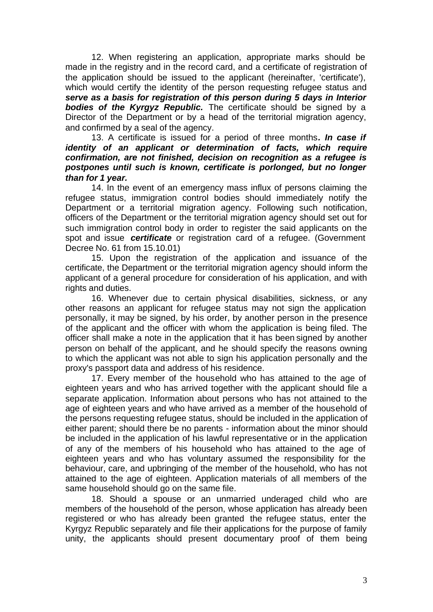12. When registering an application, appropriate marks should be made in the registry and in the record card, and a certificate of registration of the application should be issued to the applicant (hereinafter, 'certificate'), which would certify the identity of the person requesting refugee status and *serve as a basis for registration of this person during 5 days in Interior bodies of the Kyrgyz Republic.* The certificate should be signed by a Director of the Department or by a head of the territorial migration agency, and confirmed by a seal of the agency.

13. A certificate is issued for a period of three months*. In case if identity of an applicant or determination of facts, which require confirmation, are not finished, decision on recognition as a refugee is postpones until such is known, certificate is porlonged, but no longer than for 1 year.* 

14. In the event of an emergency mass influx of persons claiming the refugee status, immigration control bodies should immediately notify the Department or a territorial migration agency. Following such notification, officers of the Department or the territorial migration agency should set out for such immigration control body in order to register the said applicants on the spot and issue *certificate* or registration card of a refugee. (Government Decree No. 61 from 15.10.01)

15. Upon the registration of the application and issuance of the certificate, the Department or the territorial migration agency should inform the applicant of a general procedure for consideration of his application, and with rights and duties.

16. Whenever due to certain physical disabilities, sickness, or any other reasons an applicant for refugee status may not sign the application personally, it may be signed, by his order, by another person in the presence of the applicant and the officer with whom the application is being filed. The officer shall make a note in the application that it has been signed by another person on behalf of the applicant, and he should specify the reasons owning to which the applicant was not able to sign his application personally and the proxy's passport data and address of his residence.

17. Every member of the household who has attained to the age of eighteen years and who has arrived together with the applicant should file a separate application. Information about persons who has not attained to the age of eighteen years and who have arrived as a member of the household of the persons requesting refugee status, should be included in the application of either parent; should there be no parents - information about the minor should be included in the application of his lawful representative or in the application of any of the members of his household who has attained to the age of eighteen years and who has voluntary assumed the responsibility for the behaviour, care, and upbringing of the member of the household, who has not attained to the age of eighteen. Application materials of all members of the same household should go on the same file.

18. Should a spouse or an unmarried underaged child who are members of the household of the person, whose application has already been registered or who has already been granted the refugee status, enter the Kyrgyz Republic separately and file their applications for the purpose of family unity, the applicants should present documentary proof of them being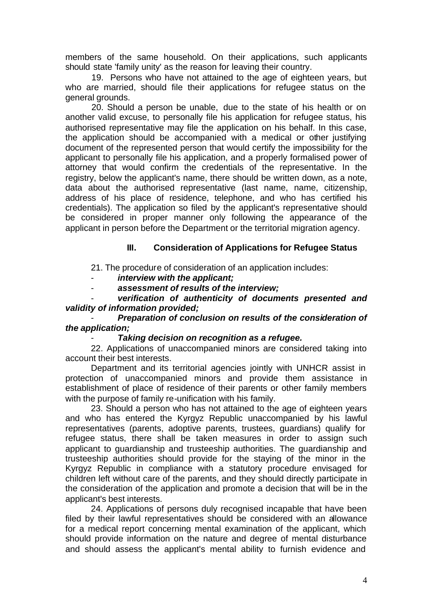members of the same household. On their applications, such applicants should state 'family unity' as the reason for leaving their country.

19. Persons who have not attained to the age of eighteen years, but who are married, should file their applications for refugee status on the general grounds.

20. Should a person be unable, due to the state of his health or on another valid excuse, to personally file his application for refugee status, his authorised representative may file the application on his behalf. In this case, the application should be accompanied with a medical or other justifying document of the represented person that would certify the impossibility for the applicant to personally file his application, and a properly formalised power of attorney that would confirm the credentials of the representative. In the registry, below the applicant's name, there should be written down, as a note, data about the authorised representative (last name, name, citizenship, address of his place of residence, telephone, and who has certified his credentials). The application so filed by the applicant's representative should be considered in proper manner only following the appearance of the applicant in person before the Department or the territorial migration agency.

# **III. Consideration of Applications for Refugee Status**

21. The procedure of consideration of an application includes:

- *interview with the applicant;*

- *assessment of results of the interview;*

verification of authenticity of documents presented and *validity of information provided;*

### - *Preparation of conclusion on results of the consideration of the application;*

### - *Taking decision on recognition as a refugee.*

22. Applications of unaccompanied minors are considered taking into account their best interests.

Department and its territorial agencies jointly with UNHCR assist in protection of unaccompanied minors and provide them assistance in establishment of place of residence of their parents or other family members with the purpose of family re-unification with his family.

23. Should a person who has not attained to the age of eighteen years and who has entered the Kyrgyz Republic unaccompanied by his lawful representatives (parents, adoptive parents, trustees, guardians) qualify for refugee status, there shall be taken measures in order to assign such applicant to guardianship and trusteeship authorities. The guardianship and trusteeship authorities should provide for the staying of the minor in the Kyrgyz Republic in compliance with a statutory procedure envisaged for children left without care of the parents, and they should directly participate in the consideration of the application and promote a decision that will be in the applicant's best interests.

24. Applications of persons duly recognised incapable that have been filed by their lawful representatives should be considered with an allowance for a medical report concerning mental examination of the applicant, which should provide information on the nature and degree of mental disturbance and should assess the applicant's mental ability to furnish evidence and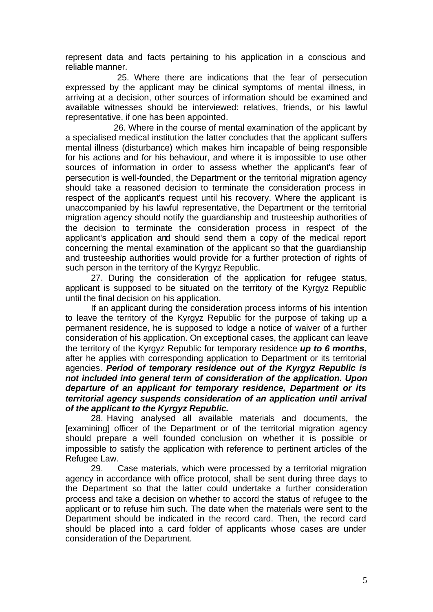represent data and facts pertaining to his application in a conscious and reliable manner.

 25. Where there are indications that the fear of persecution expressed by the applicant may be clinical symptoms of mental illness, in arriving at a decision, other sources of information should be examined and available witnesses should be interviewed: relatives, friends, or his lawful representative, if one has been appointed.

 26. Where in the course of mental examination of the applicant by a specialised medical institution the latter concludes that the applicant suffers mental illness (disturbance) which makes him incapable of being responsible for his actions and for his behaviour, and where it is impossible to use other sources of information in order to assess whether the applicant's fear of persecution is well-founded, the Department or the territorial migration agency should take a reasoned decision to terminate the consideration process in respect of the applicant's request until his recovery. Where the applicant is unaccompanied by his lawful representative, the Department or the territorial migration agency should notify the guardianship and trusteeship authorities of the decision to terminate the consideration process in respect of the applicant's application and should send them a copy of the medical report concerning the mental examination of the applicant so that the guardianship and trusteeship authorities would provide for a further protection of rights of such person in the territory of the Kyrgyz Republic.

27. During the consideration of the application for refugee status, applicant is supposed to be situated on the territory of the Kyrgyz Republic until the final decision on his application.

If an applicant during the consideration process informs of his intention to leave the territory of the Kyrgyz Republic for the purpose of taking up a permanent residence, he is supposed to lodge a notice of waiver of a further consideration of his application. On exceptional cases, the applicant can leave the territory of the Kyrgyz Republic for temporary residence *up to 6 months*, after he applies with corresponding application to Department or its territorial agencies. *Period of temporary residence out of the Kyrgyz Republic is not included into general term of consideration of the application. Upon departure of an applicant for temporary residence, Department or its territorial agency suspends consideration of an application until arrival of the applicant to the Kyrgyz Republic.* 

28. Having analysed all available materials and documents, the [examining] officer of the Department or of the territorial migration agency should prepare a well founded conclusion on whether it is possible or impossible to satisfy the application with reference to pertinent articles of the Refugee Law.

29. Case materials, which were processed by a territorial migration agency in accordance with office protocol, shall be sent during three days to the Department so that the latter could undertake a further consideration process and take a decision on whether to accord the status of refugee to the applicant or to refuse him such. The date when the materials were sent to the Department should be indicated in the record card. Then, the record card should be placed into a card folder of applicants whose cases are under consideration of the Department.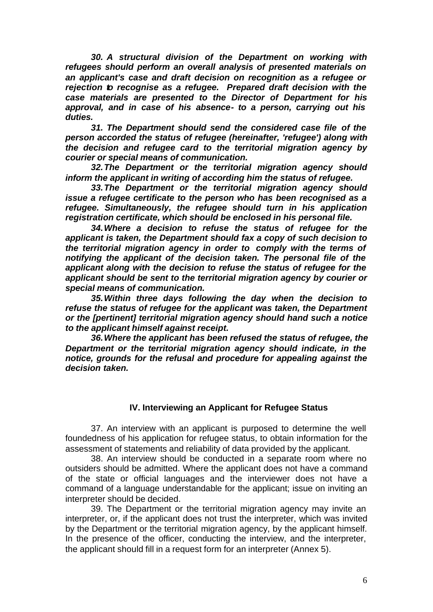*30. A structural division of the Department on working with refugees should perform an overall analysis of presented materials on an applicant's case and draft decision on recognition as a refugee or rejection to recognise as a refugee. Prepared draft decision with the case materials are presented to the Director of Department for his approval, and in case of his absence- to a person, carrying out his duties.* 

*31. The Department should send the considered case file of the person accorded the status of refugee (hereinafter, 'refugee') along with the decision and refugee card to the territorial migration agency by courier or special means of communication.*

*32.The Department or the territorial migration agency should inform the applicant in writing of according him the status of refugee.*

*33.The Department or the territorial migration agency should issue a refugee certificate to the person who has been recognised as a refugee. Simultaneously, the refugee should turn in his application registration certificate, which should be enclosed in his personal file.*

*34.Where a decision to refuse the status of refugee for the applicant is taken, the Department should fax a copy of such decision to the territorial migration agency in order to comply with the terms of notifying the applicant of the decision taken. The personal file of the applicant along with the decision to refuse the status of refugee for the applicant should be sent to the territorial migration agency by courier or special means of communication.*

*35.Within three days following the day when the decision to refuse the status of refugee for the applicant was taken, the Department or the [pertinent] territorial migration agency should hand such a notice to the applicant himself against receipt.* 

*36.Where the applicant has been refused the status of refugee, the Department or the territorial migration agency should indicate, in the notice, grounds for the refusal and procedure for appealing against the decision taken.*

### **IV. Interviewing an Applicant for Refugee Status**

37. An interview with an applicant is purposed to determine the well foundedness of his application for refugee status, to obtain information for the assessment of statements and reliability of data provided by the applicant.

38. An interview should be conducted in a separate room where no outsiders should be admitted. Where the applicant does not have a command of the state or official languages and the interviewer does not have a command of a language understandable for the applicant; issue on inviting an interpreter should be decided.

39. The Department or the territorial migration agency may invite an interpreter, or, if the applicant does not trust the interpreter, which was invited by the Department or the territorial migration agency, by the applicant himself. In the presence of the officer, conducting the interview, and the interpreter, the applicant should fill in a request form for an interpreter (Annex 5).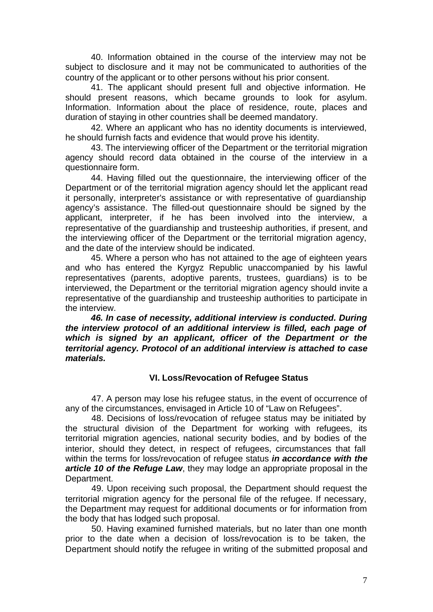40. Information obtained in the course of the interview may not be subject to disclosure and it may not be communicated to authorities of the country of the applicant or to other persons without his prior consent.

41. The applicant should present full and objective information. He should present reasons, which became grounds to look for asylum. Information. Information about the place of residence, route, places and duration of staying in other countries shall be deemed mandatory.

42. Where an applicant who has no identity documents is interviewed, he should furnish facts and evidence that would prove his identity.

43. The interviewing officer of the Department or the territorial migration agency should record data obtained in the course of the interview in a questionnaire form.

44. Having filled out the questionnaire, the interviewing officer of the Department or of the territorial migration agency should let the applicant read it personally, interpreter's assistance or with representative of guardianship agency's assistance. The filled-out questionnaire should be signed by the applicant, interpreter, if he has been involved into the interview, a representative of the guardianship and trusteeship authorities, if present, and the interviewing officer of the Department or the territorial migration agency, and the date of the interview should be indicated.

45. Where a person who has not attained to the age of eighteen years and who has entered the Kyrgyz Republic unaccompanied by his lawful representatives (parents, adoptive parents, trustees, guardians) is to be interviewed, the Department or the territorial migration agency should invite a representative of the guardianship and trusteeship authorities to participate in the interview.

*46. In case of necessity, additional interview is conducted. During the interview protocol of an additional interview is filled, each page of which is signed by an applicant, officer of the Department or the territorial agency. Protocol of an additional interview is attached to case materials.* 

### **VI. Loss/Revocation of Refugee Status**

47. A person may lose his refugee status, in the event of occurrence of any of the circumstances, envisaged in Article 10 of "Law on Refugees".

48. Decisions of loss/revocation of refugee status may be initiated by the structural division of the Department for working with refugees, its territorial migration agencies, national security bodies, and by bodies of the interior, should they detect, in respect of refugees, circumstances that fall within the terms for loss/revocation of refugee status *in accordance with the article 10 of the Refuge Law*, they may lodge an appropriate proposal in the Department.

49. Upon receiving such proposal, the Department should request the territorial migration agency for the personal file of the refugee. If necessary, the Department may request for additional documents or for information from the body that has lodged such proposal.

50. Having examined furnished materials, but no later than one month prior to the date when a decision of loss/revocation is to be taken, the Department should notify the refugee in writing of the submitted proposal and